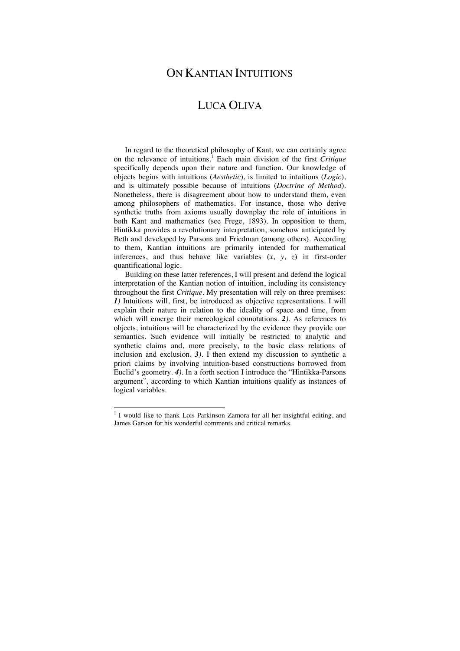# ON KANTIAN INTUITIONS

# LUCA OLIVA

In regard to the theoretical philosophy of Kant, we can certainly agree on the relevance of intuitions.1 Each main division of the first *Critique* specifically depends upon their nature and function. Our knowledge of objects begins with intuitions (*Aesthetic*), is limited to intuitions (*Logic*), and is ultimately possible because of intuitions (*Doctrine of Method*). Nonetheless, there is disagreement about how to understand them, even among philosophers of mathematics. For instance, those who derive synthetic truths from axioms usually downplay the role of intuitions in both Kant and mathematics (see Frege, 1893). In opposition to them, Hintikka provides a revolutionary interpretation, somehow anticipated by Beth and developed by Parsons and Friedman (among others). According to them, Kantian intuitions are primarily intended for mathematical inferences, and thus behave like variables (*x*, *y*, *z*) in first-order quantificational logic.

Building on these latter references, I will present and defend the logical interpretation of the Kantian notion of intuition, including its consistency throughout the first *Critique*. My presentation will rely on three premises: *1)* Intuitions will, first, be introduced as objective representations. I will explain their nature in relation to the ideality of space and time, from which will emerge their mereological connotations. *2)*. As references to objects, intuitions will be characterized by the evidence they provide our semantics. Such evidence will initially be restricted to analytic and synthetic claims and, more precisely, to the basic class relations of inclusion and exclusion. *3)*. I then extend my discussion to synthetic a priori claims by involving intuition-based constructions borrowed from Euclid's geometry. *4)*. In a forth section I introduce the "Hintikka-Parsons argument", according to which Kantian intuitions qualify as instances of logical variables.

<sup>&</sup>lt;sup>1</sup> I would like to thank Lois Parkinson Zamora for all her insightful editing, and James Garson for his wonderful comments and critical remarks.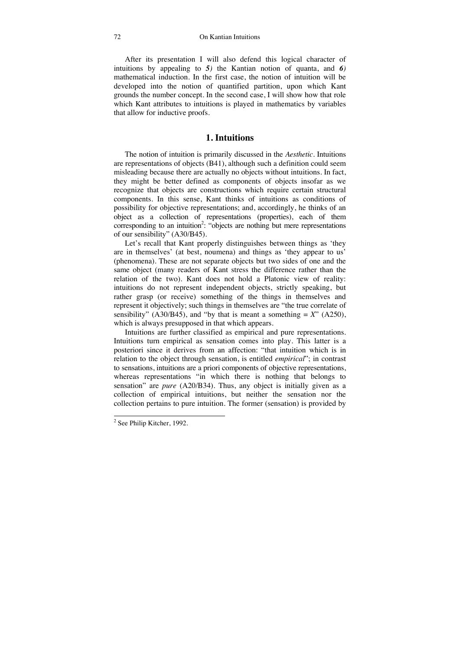After its presentation I will also defend this logical character of intuitions by appealing to *5)* the Kantian notion of quanta, and *6)* mathematical induction. In the first case, the notion of intuition will be developed into the notion of quantified partition, upon which Kant grounds the number concept. In the second case, I will show how that role which Kant attributes to intuitions is played in mathematics by variables that allow for inductive proofs.

## **1. Intuitions**

The notion of intuition is primarily discussed in the *Aesthetic*. Intuitions are representations of objects (B41), although such a definition could seem misleading because there are actually no objects without intuitions. In fact, they might be better defined as components of objects insofar as we recognize that objects are constructions which require certain structural components. In this sense, Kant thinks of intuitions as conditions of possibility for objective representations; and, accordingly, he thinks of an object as a collection of representations (properties), each of them corresponding to an intuition<sup>2</sup>: "objects are nothing but mere representations of our sensibility" (A30/B45).

Let's recall that Kant properly distinguishes between things as 'they are in themselves' (at best, noumena) and things as 'they appear to us' (phenomena). These are not separate objects but two sides of one and the same object (many readers of Kant stress the difference rather than the relation of the two). Kant does not hold a Platonic view of reality: intuitions do not represent independent objects, strictly speaking, but rather grasp (or receive) something of the things in themselves and represent it objectively; such things in themselves are "the true correlate of sensibility" (A30/B45), and "by that is meant a something  $= X$ " (A250), which is always presupposed in that which appears.

Intuitions are further classified as empirical and pure representations. Intuitions turn empirical as sensation comes into play. This latter is a posteriori since it derives from an affection: "that intuition which is in relation to the object through sensation, is entitled *empirical*"; in contrast to sensations, intuitions are a priori components of objective representations, whereas representations "in which there is nothing that belongs to sensation" are *pure* (A20/B34). Thus, any object is initially given as a collection of empirical intuitions, but neither the sensation nor the collection pertains to pure intuition. The former (sensation) is provided by

<sup>&</sup>lt;sup>2</sup> See Philip Kitcher, 1992.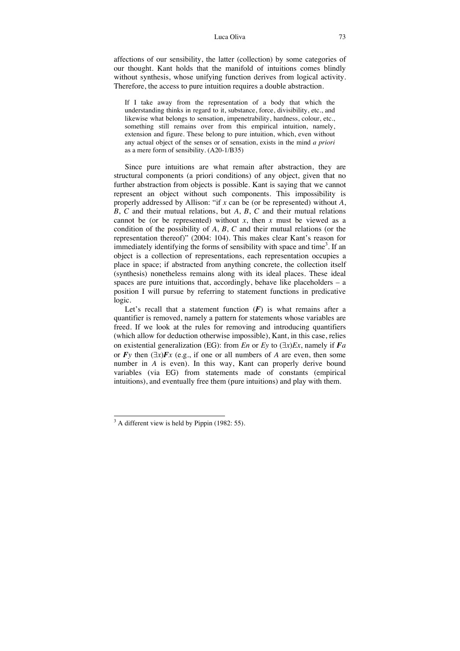affections of our sensibility, the latter (collection) by some categories of our thought. Kant holds that the manifold of intuitions comes blindly without synthesis, whose unifying function derives from logical activity. Therefore, the access to pure intuition requires a double abstraction.

If I take away from the representation of a body that which the understanding thinks in regard to it, substance, force, divisibility, etc., and likewise what belongs to sensation, impenetrability, hardness, colour, etc., something still remains over from this empirical intuition, namely, extension and figure. These belong to pure intuition, which, even without any actual object of the senses or of sensation, exists in the mind *a priori* as a mere form of sensibility. (A20-1/B35)

Since pure intuitions are what remain after abstraction, they are structural components (a priori conditions) of any object, given that no further abstraction from objects is possible. Kant is saying that we cannot represent an object without such components. This impossibility is properly addressed by Allison: "if *x* can be (or be represented) without *A*, *B*, *C* and their mutual relations, but *A*, *B*, *C* and their mutual relations cannot be (or be represented) without  $x$ , then  $x$  must be viewed as a condition of the possibility of *A*, *B*, *C* and their mutual relations (or the representation thereof)" (2004: 104). This makes clear Kant's reason for immediately identifying the forms of sensibility with space and time<sup>3</sup>. If an object is a collection of representations, each representation occupies a place in space; if abstracted from anything concrete, the collection itself (synthesis) nonetheless remains along with its ideal places. These ideal spaces are pure intuitions that, accordingly, behave like placeholders  $-$  a position I will pursue by referring to statement functions in predicative logic.

Let's recall that a statement function  $(F)$  is what remains after a quantifier is removed, namely a pattern for statements whose variables are freed. If we look at the rules for removing and introducing quantifiers (which allow for deduction otherwise impossible), Kant, in this case, relies on existential generalization (EG): from *En* or *Ey* to  $(\exists x)Ex$ , namely if *Fa* or  $\vec{F}$ *y* then  $(\exists x) \vec{F}$ *x* (e.g., if one or all numbers of *A* are even, then some number in *A* is even). In this way, Kant can properly derive bound variables (via EG) from statements made of constants (empirical intuitions), and eventually free them (pure intuitions) and play with them.

<sup>&</sup>lt;sup>3</sup> A different view is held by Pippin (1982: 55).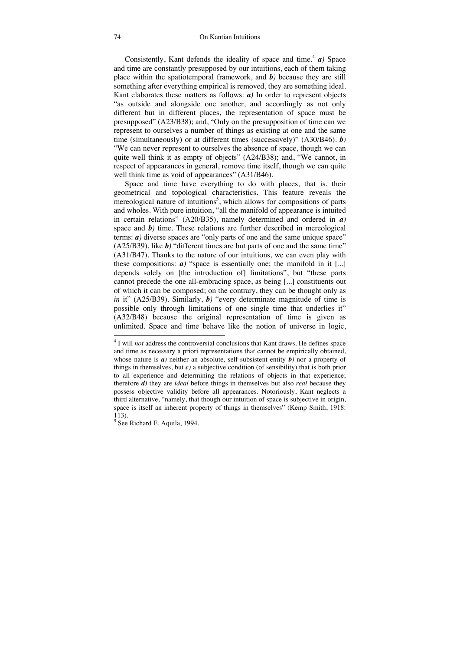Consistently, Kant defends the ideality of space and time.<sup>4</sup>  $\boldsymbol{a}$ *)* Space and time are constantly presupposed by our intuitions, each of them taking place within the spatiotemporal framework, and *b)* because they are still something after everything empirical is removed, they are something ideal. Kant elaborates these matters as follows: *a)* In order to represent objects "as outside and alongside one another, and accordingly as not only different but in different places, the representation of space must be presupposed" (A23/B38); and, "Only on the presupposition of time can we represent to ourselves a number of things as existing at one and the same time (simultaneously) or at different times (successively)" (A30/B46). *b)* "We can never represent to ourselves the absence of space, though we can quite well think it as empty of objects" (A24/B38); and, "We cannot, in respect of appearances in general, remove time itself, though we can quite well think time as void of appearances" (A31/B46).

Space and time have everything to do with places, that is, their geometrical and topological characteristics. This feature reveals the mereological nature of intuitions<sup>5</sup>, which allows for compositions of parts and wholes. With pure intuition, "all the manifold of appearance is intuited in certain relations" (A20/B35), namely determined and ordered in *a)* space and *b)* time. These relations are further described in mereological terms: *a)* diverse spaces are "only parts of one and the same unique space"  $(A25/B39)$ , like  $\boldsymbol{b}$ <sup>*'*'</sup> different times are but parts of one and the same time" (A31/B47). Thanks to the nature of our intuitions, we can even play with these compositions:  $a$ <sup>*'*</sup> "space is essentially one; the manifold in it [...] depends solely on [the introduction of] limitations", but "these parts cannot precede the one all-embracing space, as being [...] constituents out of which it can be composed; on the contrary, they can be thought only as *in* it" (A25/B39). Similarly, *b)* "every determinate magnitude of time is possible only through limitations of one single time that underlies it" (A32/B48) because the original representation of time is given as unlimited. Space and time behave like the notion of universe in logic,

j

<sup>&</sup>lt;sup>4</sup> I will *not* address the controversial conclusions that Kant draws. He defines space and time as necessary a priori representations that cannot be empirically obtained, whose nature is  $a$ *)* neither an absolute, self-subsistent entity  $b$ *)* nor a property of things in themselves, but  $c$ *)* a subjective condition (of sensibility) that is both prior to all experience and determining the relations of objects in that experience; therefore *d)* they are *ideal* before things in themselves but also *real* because they possess objective validity before all appearances. Notoriously, Kant neglects a third alternative, "namely, that though our intuition of space is subjective in origin, space is itself an inherent property of things in themselves" (Kemp Smith, 1918: 113).

<sup>&</sup>lt;sup>5</sup> See Richard E. Aquila, 1994.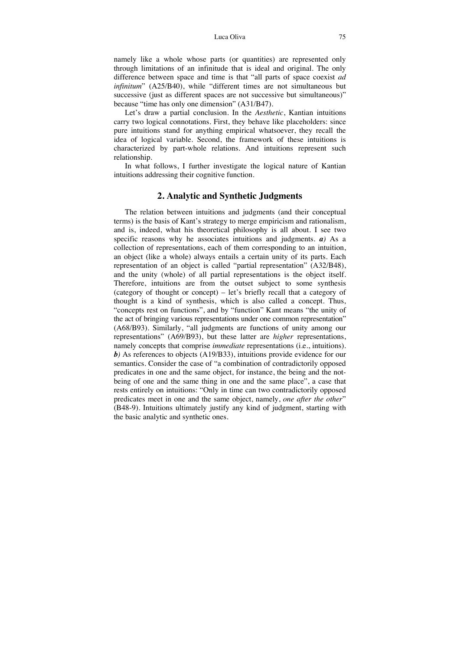namely like a whole whose parts (or quantities) are represented only through limitations of an infinitude that is ideal and original. The only difference between space and time is that "all parts of space coexist *ad infinitum*" (A25/B40), while "different times are not simultaneous but successive (just as different spaces are not successive but simultaneous)" because "time has only one dimension" (A31/B47).

Let's draw a partial conclusion. In the *Aesthetic*, Kantian intuitions carry two logical connotations. First, they behave like placeholders: since pure intuitions stand for anything empirical whatsoever, they recall the idea of logical variable. Second, the framework of these intuitions is characterized by part-whole relations. And intuitions represent such relationship.

In what follows, I further investigate the logical nature of Kantian intuitions addressing their cognitive function.

## **2. Analytic and Synthetic Judgments**

The relation between intuitions and judgments (and their conceptual terms) is the basis of Kant's strategy to merge empiricism and rationalism, and is, indeed, what his theoretical philosophy is all about. I see two specific reasons why he associates intuitions and judgments. *a)* As a collection of representations, each of them corresponding to an intuition, an object (like a whole) always entails a certain unity of its parts. Each representation of an object is called "partial representation" (A32/B48), and the unity (whole) of all partial representations is the object itself. Therefore, intuitions are from the outset subject to some synthesis (category of thought or concept) – let's briefly recall that a category of thought is a kind of synthesis, which is also called a concept. Thus, "concepts rest on functions", and by "function" Kant means "the unity of the act of bringing various representations under one common representation" (A68/B93). Similarly, "all judgments are functions of unity among our representations" (A69/B93), but these latter are *higher* representations, namely concepts that comprise *immediate* representations (i.e., intuitions). *b)* As references to objects (A19/B33), intuitions provide evidence for our semantics. Consider the case of "a combination of contradictorily opposed predicates in one and the same object, for instance, the being and the notbeing of one and the same thing in one and the same place", a case that rests entirely on intuitions: "Only in time can two contradictorily opposed predicates meet in one and the same object, namely, *one after the other*" (B48-9). Intuitions ultimately justify any kind of judgment, starting with the basic analytic and synthetic ones.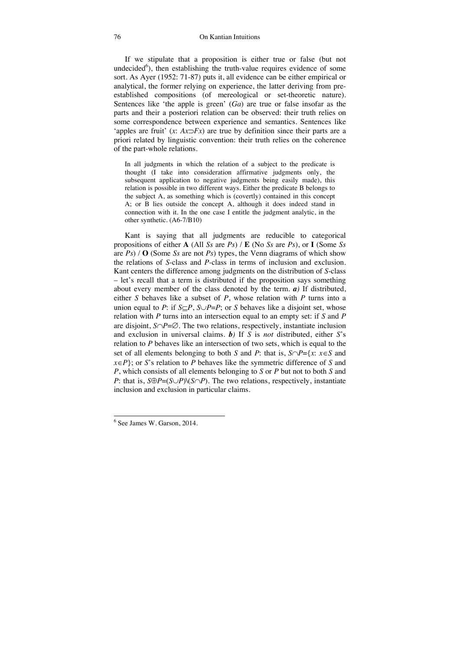If we stipulate that a proposition is either true or false (but not undecided<sup>6</sup>), then establishing the truth-value requires evidence of some sort. As Ayer (1952: 71-87) puts it, all evidence can be either empirical or analytical, the former relying on experience, the latter deriving from preestablished compositions (of mereological or set-theoretic nature). Sentences like 'the apple is green' (*Ga*) are true or false insofar as the parts and their a posteriori relation can be observed: their truth relies on some correspondence between experience and semantics. Sentences like 'apples are fruit'  $(x: Ax \supset Fx)$  are true by definition since their parts are a priori related by linguistic convention: their truth relies on the coherence of the part-whole relations.

In all judgments in which the relation of a subject to the predicate is thought (I take into consideration affirmative judgments only, the subsequent application to negative judgments being easily made), this relation is possible in two different ways. Either the predicate B belongs to the subject A, as something which is (covertly) contained in this concept A; or B lies outside the concept A, although it does indeed stand in connection with it. In the one case I entitle the judgment analytic, in the other synthetic. (A6-7/B10)

Kant is saying that all judgments are reducible to categorical propositions of either **A** (All *Ss* are *Ps*) / **E** (No *Ss* are *Ps*), or **I** (Some *Ss* are  $Ps$ ) / **O** (Some *Ss* are not *Ps*) types, the Venn diagrams of which show the relations of *S*-class and *P*-class in terms of inclusion and exclusion. Kant centers the difference among judgments on the distribution of *S*-class – let's recall that a term is distributed if the proposition says something about every member of the class denoted by the term. *a)* If distributed, either *S* behaves like a subset of *P*, whose relation with *P* turns into a union equal to *P*: if  $S \subset P$ ,  $S \cup P = P$ ; or *S* behaves like a disjoint set, whose relation with *P* turns into an intersection equal to an empty set: if *S* and *P* are disjoint,  $S \cap P = \emptyset$ . The two relations, respectively, instantiate inclusion and exclusion in universal claims. *b)* If *S* is *not* distributed, either *S*'s relation to *P* behaves like an intersection of two sets, which is equal to the set of all elements belonging to both *S* and *P*: that is,  $S \cap P = \{x : x \in S \text{ and } x\}$  $x \in P$ ; or *S*'s relation to *P* behaves like the symmetric difference of *S* and *P*, which consists of all elements belonging to *S* or *P* but not to both *S* and *P*: that is,  $S \oplus P = (S \cup P) \setminus (S \cap P)$ . The two relations, respectively, instantiate inclusion and exclusion in particular claims.

-

<sup>6</sup> See James W. Garson, 2014.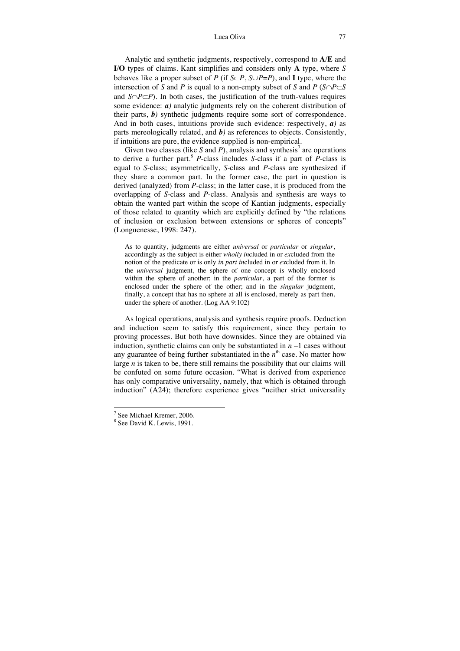Analytic and synthetic judgments, respectively, correspond to **A**/**E** and **I**/**O** types of claims. Kant simplifies and considers only **A** type, where *S* behaves like a proper subset of *P* (if  $S \subset P$ ,  $S \cup P = P$ ), and **I** type, where the intersection of *S* and *P* is equal to a non-empty subset of *S* and *P* ( $S \cap P \subset S$ ) and  $S \cap P \subset P$ ). In both cases, the justification of the truth-values requires some evidence:  $a$ *)* analytic judgments rely on the coherent distribution of their parts, *b)* synthetic judgments require some sort of correspondence. And in both cases, intuitions provide such evidence: respectively, *a)* as parts mereologically related, and *b)* as references to objects. Consistently, if intuitions are pure, the evidence supplied is non-empirical.

Given two classes (like  $S$  and  $P$ ), analysis and synthesis<sup>7</sup> are operations to derive a further part.8 *P*-class includes *S*-class if a part of *P*-class is equal to *S*-class; asymmetrically, *S*-class and *P*-class are synthesized if they share a common part. In the former case, the part in question is derived (analyzed) from *P*-class; in the latter case, it is produced from the overlapping of *S*-class and *P*-class. Analysis and synthesis are ways to obtain the wanted part within the scope of Kantian judgments, especially of those related to quantity which are explicitly defined by "the relations of inclusion or exclusion between extensions or spheres of concepts" (Longuenesse, 1998: 247).

As to quantity, judgments are either *universal* or *particular* or *singular*, accordingly as the subject is either *wholly in*cluded in or *ex*cluded from the notion of the predicate or is only *in part in*cluded in or *ex*cluded from it. In the *universal* judgment, the sphere of one concept is wholly enclosed within the sphere of another; in the *particular*, a part of the former is enclosed under the sphere of the other; and in the *singular* judgment, finally, a concept that has no sphere at all is enclosed, merely as part then, under the sphere of another. (Log AA 9:102)

As logical operations, analysis and synthesis require proofs. Deduction and induction seem to satisfy this requirement, since they pertain to proving processes. But both have downsides. Since they are obtained via induction, synthetic claims can only be substantiated in  $n-1$  cases without any guarantee of being further substantiated in the  $n<sup>th</sup>$  case. No matter how large *n* is taken to be, there still remains the possibility that our claims will be confuted on some future occasion. "What is derived from experience has only comparative universality, namely, that which is obtained through induction" (A24); therefore experience gives "neither strict universality

j

<sup>7</sup> See Michael Kremer, 2006.

<sup>8</sup> See David K. Lewis, 1991.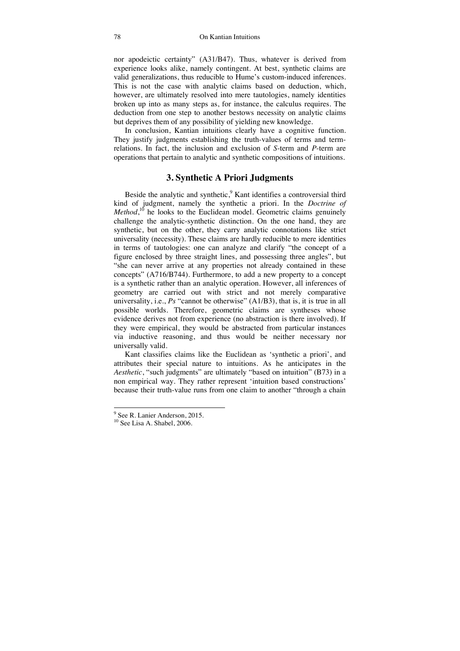nor apodeictic certainty" (A31/B47). Thus, whatever is derived from experience looks alike, namely contingent. At best, synthetic claims are valid generalizations, thus reducible to Hume's custom-induced inferences. This is not the case with analytic claims based on deduction, which, however, are ultimately resolved into mere tautologies, namely identities broken up into as many steps as, for instance, the calculus requires. The deduction from one step to another bestows necessity on analytic claims but deprives them of any possibility of yielding new knowledge.

In conclusion, Kantian intuitions clearly have a cognitive function. They justify judgments establishing the truth-values of terms and termrelations. In fact, the inclusion and exclusion of *S*-term and *P*-term are operations that pertain to analytic and synthetic compositions of intuitions.

# **3. Synthetic A Priori Judgments**

Beside the analytic and synthetic,<sup>9</sup> Kant identifies a controversial third kind of judgment, namely the synthetic a priori. In the *Doctrine of Method*<sup>10</sup>, he looks to the Euclidean model. Geometric claims genuinely challenge the analytic-synthetic distinction. On the one hand, they are synthetic, but on the other, they carry analytic connotations like strict universality (necessity). These claims are hardly reducible to mere identities in terms of tautologies: one can analyze and clarify "the concept of a figure enclosed by three straight lines, and possessing three angles", but "she can never arrive at any properties not already contained in these concepts" (A716/B744). Furthermore, to add a new property to a concept is a synthetic rather than an analytic operation. However, all inferences of geometry are carried out with strict and not merely comparative universality, i.e., *Ps* "cannot be otherwise" (A1/B3), that is, it is true in all possible worlds. Therefore, geometric claims are syntheses whose evidence derives not from experience (no abstraction is there involved). If they were empirical, they would be abstracted from particular instances via inductive reasoning, and thus would be neither necessary nor universally valid.

Kant classifies claims like the Euclidean as 'synthetic a priori', and attributes their special nature to intuitions. As he anticipates in the *Aesthetic*, "such judgments" are ultimately "based on intuition" (B73) in a non empirical way. They rather represent 'intuition based constructions' because their truth-value runs from one claim to another "through a chain

<sup>&</sup>lt;sup>9</sup> See R. Lanier Anderson, 2015.

 $10$  See Lisa A. Shabel, 2006.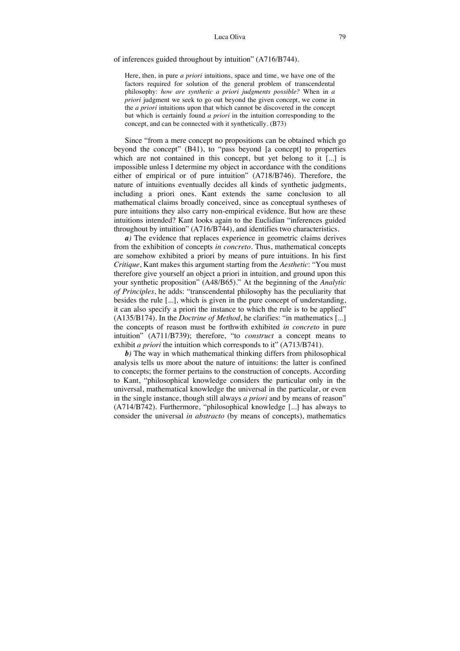## of inferences guided throughout by intuition" (A716/B744).

Here, then, in pure *a priori* intuitions, space and time, we have one of the factors required for solution of the general problem of transcendental philosophy: *how are synthetic a priori judgments possible?* When in *a priori* judgment we seek to go out beyond the given concept, we come in the *a priori* intuitions upon that which cannot be discovered in the concept but which is certainly found *a priori* in the intuition corresponding to the concept, and can be connected with it synthetically. (B73)

Since "from a mere concept no propositions can be obtained which go beyond the concept" (B41), to "pass beyond [a concept] to properties which are not contained in this concept, but yet belong to it [...] is impossible unless I determine my object in accordance with the conditions either of empirical or of pure intuition" (A718/B746). Therefore, the nature of intuitions eventually decides all kinds of synthetic judgments, including a priori ones. Kant extends the same conclusion to all mathematical claims broadly conceived, since as conceptual syntheses of pure intuitions they also carry non-empirical evidence. But how are these intuitions intended? Kant looks again to the Euclidian "inferences guided throughout by intuition" (A716/B744), and identifies two characteristics.

*a)* The evidence that replaces experience in geometric claims derives from the exhibition of concepts *in concreto*. Thus, mathematical concepts are somehow exhibited a priori by means of pure intuitions. In his first *Critique*, Kant makes this argument starting from the *Aesthetic*: "You must therefore give yourself an object a priori in intuition, and ground upon this your synthetic proposition" (A48/B65)." At the beginning of the *Analytic of Principles*, he adds: "transcendental philosophy has the peculiarity that besides the rule [...], which is given in the pure concept of understanding, it can also specify a priori the instance to which the rule is to be applied" (A135/B174). In the *Doctrine of Method*, he clarifies: "in mathematics [...] the concepts of reason must be forthwith exhibited *in concreto* in pure intuition" (A711/B739); therefore, "to *construct* a concept means to exhibit *a priori* the intuition which corresponds to it" (A713/B741).

*b)* The way in which mathematical thinking differs from philosophical analysis tells us more about the nature of intuitions: the latter is confined to concepts; the former pertains to the construction of concepts. According to Kant, "philosophical knowledge considers the particular only in the universal, mathematical knowledge the universal in the particular, or even in the single instance, though still always *a priori* and by means of reason" (A714/B742). Furthermore, "philosophical knowledge [...] has always to consider the universal *in abstracto* (by means of concepts), mathematics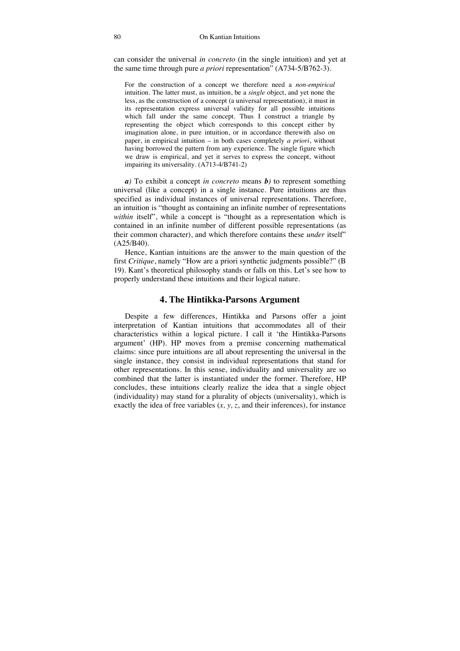can consider the universal *in concreto* (in the single intuition) and yet at the same time through pure *a priori* representation" (A734-5/B762-3).

For the construction of a concept we therefore need a *non-empirical* intuition. The latter must, as intuition, be a *single* object, and yet none the less, as the construction of a concept (a universal representation), it must in its representation express universal validity for all possible intuitions which fall under the same concept. Thus I construct a triangle by representing the object which corresponds to this concept either by imagination alone, in pure intuition, or in accordance therewith also on paper, in empirical intuition – in both cases completely *a priori*, without having borrowed the pattern from any experience. The single figure which we draw is empirical, and yet it serves to express the concept, without impairing its universality. (A713-4/B741-2)

*a)* To exhibit a concept *in concreto* means *b)* to represent something universal (like a concept) in a single instance. Pure intuitions are thus specified as individual instances of universal representations. Therefore, an intuition is "thought as containing an infinite number of representations *within* itself", while a concept is "thought as a representation which is contained in an infinite number of different possible representations (as their common character), and which therefore contains these *under* itself" (A25/B40).

Hence, Kantian intuitions are the answer to the main question of the first *Critique*, namely "How are a priori synthetic judgments possible?" (B 19). Kant's theoretical philosophy stands or falls on this. Let's see how to properly understand these intuitions and their logical nature.

# **4. The Hintikka-Parsons Argument**

Despite a few differences, Hintikka and Parsons offer a joint interpretation of Kantian intuitions that accommodates all of their characteristics within a logical picture. I call it 'the Hintikka-Parsons argument' (HP). HP moves from a premise concerning mathematical claims: since pure intuitions are all about representing the universal in the single instance, they consist in individual representations that stand for other representations. In this sense, individuality and universality are so combined that the latter is instantiated under the former. Therefore, HP concludes, these intuitions clearly realize the idea that a single object (individuality) may stand for a plurality of objects (universality), which is exactly the idea of free variables  $(x, y, z, z)$  and their inferences), for instance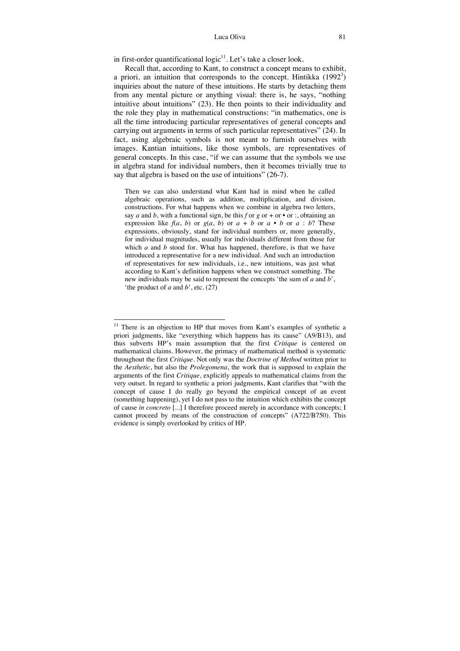in first-order quantificational  $logic<sup>11</sup>$ . Let's take a closer look.

Recall that, according to Kant, to construct a concept means to exhibit, a priori, an intuition that corresponds to the concept. Hintikka  $(1992<sup>1</sup>)$ inquiries about the nature of these intuitions. He starts by detaching them from any mental picture or anything visual: there is, he says, "nothing intuitive about intuitions" (23). He then points to their individuality and the role they play in mathematical constructions: "in mathematics, one is all the time introducing particular representatives of general concepts and carrying out arguments in terms of such particular representatives" (24). In fact, using algebraic symbols is not meant to furnish ourselves with images. Kantian intuitions, like those symbols, are representatives of general concepts. In this case, "if we can assume that the symbols we use in algebra stand for individual numbers, then it becomes trivially true to say that algebra is based on the use of intuitions" (26-7).

Then we can also understand what Kant had in mind when he called algebraic operations, such as addition, multiplication, and division, constructions. For what happens when we combine in algebra two letters, say *a* and *b*, with a functional sign, be this *f* or *g* or + or • or :, obtaining an expression like  $f(a, b)$  or  $g(a, b)$  or  $a + b$  or  $a \cdot b$  or  $a : b$ ? These expressions, obviously, stand for individual numbers or, more generally, for individual magnitudes, usually for individuals different from those for which *a* and *b* stood for. What has happened, therefore, is that we have introduced a representative for a new individual. And such an introduction of representatives for new individuals, i.e., new intuitions, was just what according to Kant's definition happens when we construct something. The new individuals may be said to represent the concepts 'the sum of *a* and *b*', 'the product of *a* and *b*', etc. (27)

j <sup>11</sup> There is an objection to HP that moves from Kant's examples of synthetic a priori judgments, like "everything which happens has its cause" (A9/B13), and thus subverts HP's main assumption that the first *Critique* is centered on mathematical claims. However, the primacy of mathematical method is systematic throughout the first *Critique.* Not only was the *Doctrine of Method* written prior to the *Aesthetic*, but also the *Prolegomena*, the work that is supposed to explain the arguments of the first *Critique*, explicitly appeals to mathematical claims from the very outset. In regard to synthetic a priori judgments, Kant clarifies that "with the concept of cause I do really go beyond the empirical concept of an event (something happening), yet I do not pass to the intuition which exhibits the concept of cause *in concreto* [...] I therefore proceed merely in accordance with concepts; I cannot proceed by means of the construction of concepts" (A722/B750). This evidence is simply overlooked by critics of HP.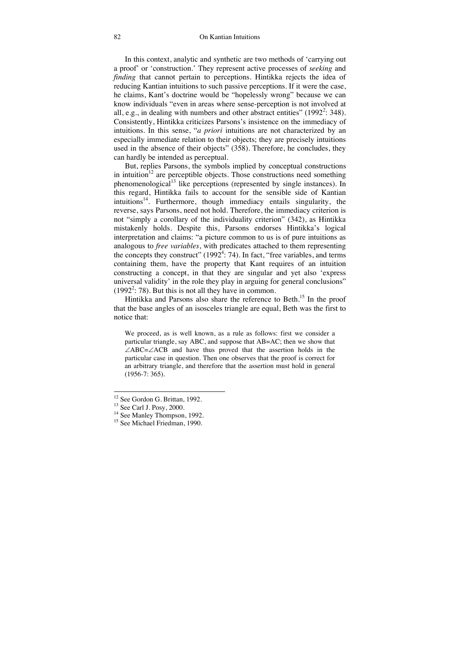In this context, analytic and synthetic are two methods of 'carrying out a proof' or 'construction.' They represent active processes of *seeking* and *finding* that cannot pertain to perceptions. Hintikka rejects the idea of reducing Kantian intuitions to such passive perceptions. If it were the case, he claims, Kant's doctrine would be "hopelessly wrong" because we can know individuals "even in areas where sense-perception is not involved at all, e.g., in dealing with numbers and other abstract entities"  $(1992^2: 348)$ . Consistently, Hintikka criticizes Parsons's insistence on the immediacy of intuitions. In this sense, "*a priori* intuitions are not characterized by an especially immediate relation to their objects; they are precisely intuitions used in the absence of their objects" (358). Therefore, he concludes, they can hardly be intended as perceptual.

But, replies Parsons, the symbols implied by conceptual constructions in intuition<sup>12</sup> are perceptible objects. Those constructions need something phenomenological<sup>13</sup> like perceptions (represented by single instances). In this regard, Hintikka fails to account for the sensible side of Kantian intuitions<sup>14</sup>. Furthermore, though immediacy entails singularity, the reverse, says Parsons, need not hold. Therefore, the immediacy criterion is not "simply a corollary of the individuality criterion" (342), as Hintikka mistakenly holds. Despite this, Parsons endorses Hintikka's logical interpretation and claims: "a picture common to us is of pure intuitions as analogous to *free variables*, with predicates attached to them representing the concepts they construct"  $(1992<sup>4</sup>: 74)$ . In fact, "free variables, and terms containing them, have the property that Kant requires of an intuition constructing a concept, in that they are singular and yet also 'express universal validity' in the role they play in arguing for general conclusions"  $(1992<sup>2</sup>: 78)$ . But this is not all they have in common.

Hintikka and Parsons also share the reference to Beth.<sup>15</sup> In the proof that the base angles of an isosceles triangle are equal, Beth was the first to notice that:

We proceed, as is well known, as a rule as follows: first we consider a particular triangle, say ABC, and suppose that AB=AC; then we show that  $\angle ABC = \angle ACB$  and have thus proved that the assertion holds in the particular case in question. Then one observes that the proof is correct for an arbitrary triangle, and therefore that the assertion must hold in general (1956-7: 365).

j

<sup>&</sup>lt;sup>12</sup> See Gordon G. Brittan, 1992.

<sup>13</sup> See Carl J. Posy, 2000.

<sup>&</sup>lt;sup>14</sup> See Manley Thompson, 1992.

<sup>&</sup>lt;sup>15</sup> See Michael Friedman, 1990.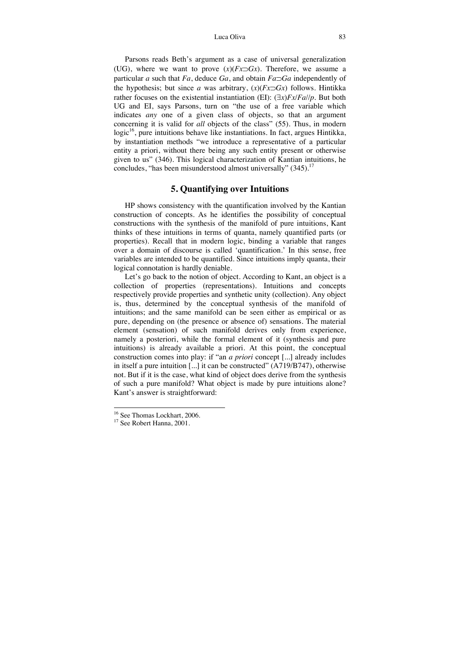Parsons reads Beth's argument as a case of universal generalization (UG), where we want to prove  $(x)(Fx\supset Gx)$ . Therefore, we assume a particular *a* such that  $Fa$ , deduce  $Ga$ , and obtain  $Fa\supset Ga$  independently of the hypothesis; but since *a* was arbitrary,  $(x)(Fx\supset Gx)$  follows. Hintikka rather focuses on the existential instantiation (EI):  $(\exists x) Fx$ /*Fa*//*p*. But both UG and EI, says Parsons, turn on "the use of a free variable which indicates *any* one of a given class of objects, so that an argument concerning it is valid for *all* objects of the class" (55). Thus, in modern logic<sup>16</sup>, pure intuitions behave like instantiations. In fact, argues Hintikka, by instantiation methods "we introduce a representative of a particular entity a priori, without there being any such entity present or otherwise given to us" (346). This logical characterization of Kantian intuitions, he concludes, "has been misunderstood almost universally"  $(345)$ .<sup>17</sup>

# **5. Quantifying over Intuitions**

HP shows consistency with the quantification involved by the Kantian construction of concepts. As he identifies the possibility of conceptual constructions with the synthesis of the manifold of pure intuitions, Kant thinks of these intuitions in terms of quanta, namely quantified parts (or properties). Recall that in modern logic, binding a variable that ranges over a domain of discourse is called 'quantification.' In this sense, free variables are intended to be quantified. Since intuitions imply quanta, their logical connotation is hardly deniable.

Let's go back to the notion of object. According to Kant, an object is a collection of properties (representations). Intuitions and concepts respectively provide properties and synthetic unity (collection). Any object is, thus, determined by the conceptual synthesis of the manifold of intuitions; and the same manifold can be seen either as empirical or as pure, depending on (the presence or absence of) sensations. The material element (sensation) of such manifold derives only from experience, namely a posteriori, while the formal element of it (synthesis and pure intuitions) is already available a priori. At this point, the conceptual construction comes into play: if "an *a priori* concept [...] already includes in itself a pure intuition [...] it can be constructed" (A719/B747), otherwise not. But if it is the case, what kind of object does derive from the synthesis of such a pure manifold? What object is made by pure intuitions alone? Kant's answer is straightforward:

j

<sup>16</sup> See Thomas Lockhart, 2006.

<sup>&</sup>lt;sup>17</sup> See Robert Hanna, 2001.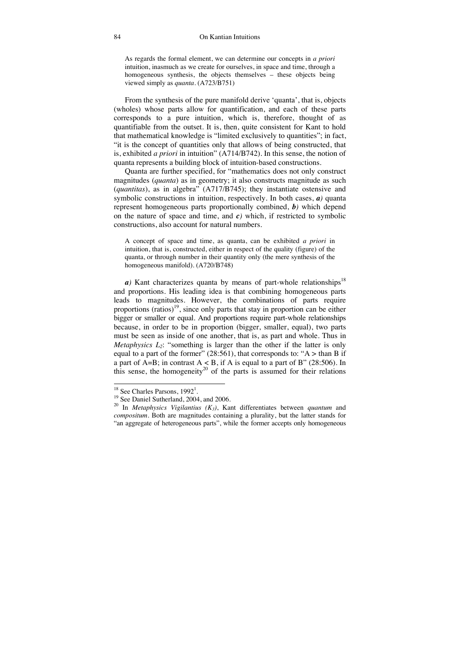As regards the formal element, we can determine our concepts in *a priori* intuition, inasmuch as we create for ourselves, in space and time, through a homogeneous synthesis, the objects themselves – these objects being viewed simply as *quanta*. (A723/B751)

From the synthesis of the pure manifold derive 'quanta', that is, objects (wholes) whose parts allow for quantification, and each of these parts corresponds to a pure intuition, which is, therefore, thought of as quantifiable from the outset. It is, then, quite consistent for Kant to hold that mathematical knowledge is "limited exclusively to quantities"; in fact, "it is the concept of quantities only that allows of being constructed, that is, exhibited *a priori* in intuition" (A714/B742). In this sense, the notion of quanta represents a building block of intuition-based constructions.

Quanta are further specified, for "mathematics does not only construct magnitudes (*quanta*) as in geometry; it also constructs magnitude as such (*quantitas*), as in algebra" (A717/B745); they instantiate ostensive and symbolic constructions in intuition, respectively. In both cases, *a)* quanta represent homogeneous parts proportionally combined, *b)* which depend on the nature of space and time, and  $c$ *)* which, if restricted to symbolic constructions, also account for natural numbers.

A concept of space and time, as quanta, can be exhibited *a priori* in intuition, that is, constructed, either in respect of the quality (figure) of the quanta, or through number in their quantity only (the mere synthesis of the homogeneous manifold). (A720/B748)

*a*) Kant characterizes quanta by means of part-whole relationships<sup>18</sup> and proportions. His leading idea is that combining homogeneous parts leads to magnitudes. However, the combinations of parts require proportions  $(ratios)^{19}$ , since only parts that stay in proportion can be either bigger or smaller or equal. And proportions require part-whole relationships because, in order to be in proportion (bigger, smaller, equal), two parts must be seen as inside of one another, that is, as part and whole. Thus in *Metaphysics L<sub>2</sub>*: "something is larger than the other if the latter is only equal to a part of the former" (28:561), that corresponds to: " $A >$  than B if a part of  $A=B$ ; in contrast  $A < B$ , if A is equal to a part of B" (28:506). In this sense, the homogeneity<sup>20</sup> of the parts is assumed for their relations

 $\overline{a}$ 

 $18$  See Charles Parsons,  $1992<sup>1</sup>$ 

<sup>&</sup>lt;sup>19</sup> See Daniel Sutherland, 2004, and 2006.

<sup>&</sup>lt;sup>20</sup> In *Metaphysics Vigilantius*  $(K_3)$ , Kant differentiates between *quantum* and *compositum*. Both are magnitudes containing a plurality, but the latter stands for "an aggregate of heterogeneous parts", while the former accepts only homogeneous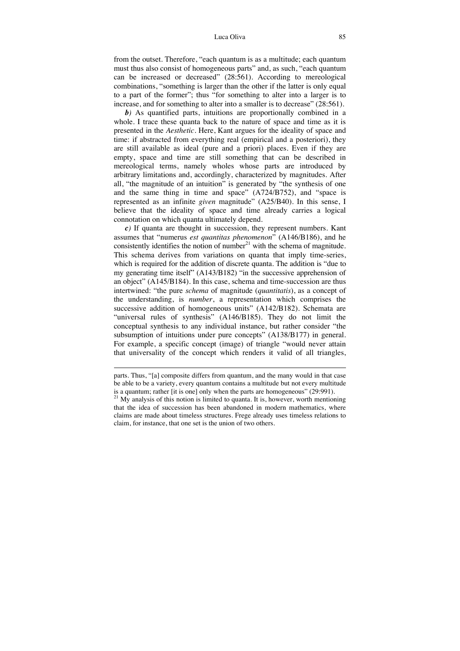from the outset. Therefore, "each quantum is as a multitude; each quantum must thus also consist of homogeneous parts" and, as such, "each quantum can be increased or decreased" (28:561). According to mereological combinations, "something is larger than the other if the latter is only equal to a part of the former"; thus "for something to alter into a larger is to increase, and for something to alter into a smaller is to decrease" (28:561).

*b)* As quantified parts, intuitions are proportionally combined in a whole. I trace these quanta back to the nature of space and time as it is presented in the *Aesthetic*. Here, Kant argues for the ideality of space and time: if abstracted from everything real (empirical and a posteriori), they are still available as ideal (pure and a priori) places. Even if they are empty, space and time are still something that can be described in mereological terms, namely wholes whose parts are introduced by arbitrary limitations and, accordingly, characterized by magnitudes. After all, "the magnitude of an intuition" is generated by "the synthesis of one and the same thing in time and space" (A724/B752), and "space is represented as an infinite *given* magnitude" (A25/B40). In this sense, I believe that the ideality of space and time already carries a logical connotation on which quanta ultimately depend.

*c)* If quanta are thought in succession, they represent numbers. Kant assumes that "numerus *est quantitas phenomenon*" (A146/B186), and he consistently identifies the notion of number<sup>21</sup> with the schema of magnitude. This schema derives from variations on quanta that imply time-series, which is required for the addition of discrete quanta. The addition is "due to my generating time itself" (A143/B182) "in the successive apprehension of an object" (A145/B184). In this case, schema and time-succession are thus intertwined: "the pure *schema* of magnitude (*quantitatis*), as a concept of the understanding, is *number*, a representation which comprises the successive addition of homogeneous units" (A142/B182). Schemata are "universal rules of synthesis" (A146/B185). They do not limit the conceptual synthesis to any individual instance, but rather consider "the subsumption of intuitions under pure concepts" (A138/B177) in general. For example, a specific concept (image) of triangle "would never attain that universality of the concept which renders it valid of all triangles,

-

parts. Thus, "[a] composite differs from quantum, and the many would in that case be able to be a variety, every quantum contains a multitude but not every multitude is a quantum; rather [it is one] only when the parts are homogeneous" (29:991).

 $21$  My analysis of this notion is limited to quanta. It is, however, worth mentioning that the idea of succession has been abandoned in modern mathematics, where claims are made about timeless structures. Frege already uses timeless relations to claim, for instance, that one set is the union of two others.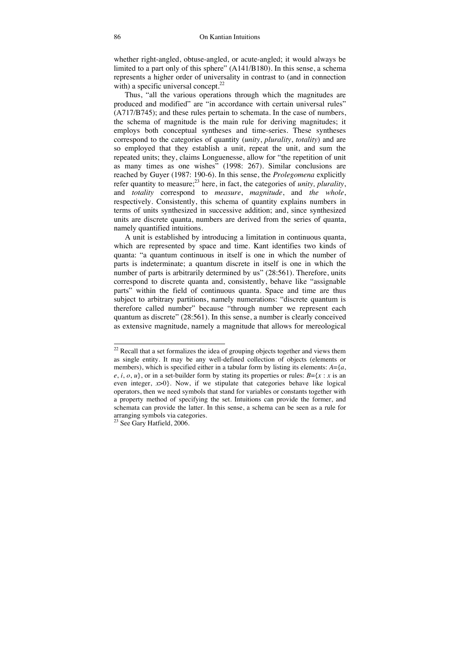whether right-angled, obtuse-angled, or acute-angled; it would always be limited to a part only of this sphere" (A141/B180). In this sense, a schema represents a higher order of universality in contrast to (and in connection with) a specific universal concept. $22$ 

Thus, "all the various operations through which the magnitudes are produced and modified" are "in accordance with certain universal rules" (A717/B745); and these rules pertain to schemata. In the case of numbers, the schema of magnitude is the main rule for deriving magnitudes; it employs both conceptual syntheses and time-series. These syntheses correspond to the categories of quantity (*unity*, *plurality*, *totality*) and are so employed that they establish a unit, repeat the unit, and sum the repeated units; they, claims Longuenesse, allow for "the repetition of unit as many times as one wishes" (1998: 267). Similar conclusions are reached by Guyer (1987: 190-6). In this sense, the *Prolegomena* explicitly refer quantity to measure;<sup>23</sup> here, in fact, the categories of *unity*, *plurality*, and *totality* correspond to *measure*, *magnitude*, and *the whole*, respectively. Consistently, this schema of quantity explains numbers in terms of units synthesized in successive addition; and, since synthesized units are discrete quanta, numbers are derived from the series of quanta, namely quantified intuitions.

A unit is established by introducing a limitation in continuous quanta, which are represented by space and time. Kant identifies two kinds of quanta: "a quantum continuous in itself is one in which the number of parts is indeterminate; a quantum discrete in itself is one in which the number of parts is arbitrarily determined by us" (28:561). Therefore, units correspond to discrete quanta and, consistently, behave like "assignable parts" within the field of continuous quanta. Space and time are thus subject to arbitrary partitions, namely numerations: "discrete quantum is therefore called number" because "through number we represent each quantum as discrete" (28:561). In this sense, a number is clearly conceived as extensive magnitude, namely a magnitude that allows for mereological

 $\overline{a}$ 

 $22$  Recall that a set formalizes the idea of grouping objects together and views them as single entity. It may be any well-defined collection of objects (elements or members), which is specified either in a tabular form by listing its elements: *A*={*a*,  $e$ , *i*, *o*, *u*}, or in a set-builder form by stating its properties or rules: *B*={*x* : *x* is an even integer,  $x>0$ . Now, if we stipulate that categories behave like logical operators, then we need symbols that stand for variables or constants together with a property method of specifying the set. Intuitions can provide the former, and schemata can provide the latter. In this sense, a schema can be seen as a rule for arranging symbols via categories.

 $23$  See Gary Hatfield, 2006.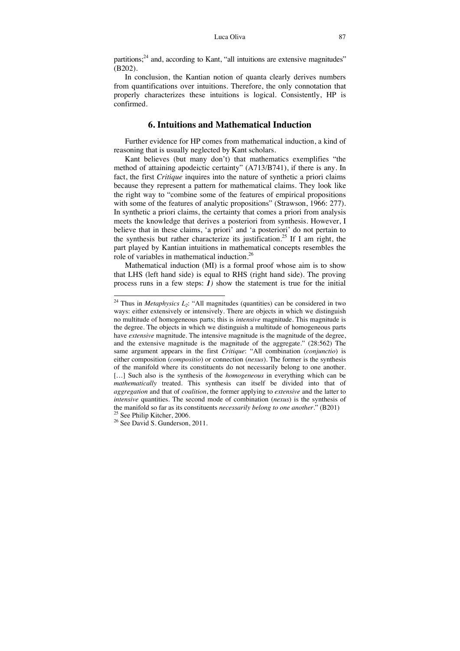partitions; $^{24}$  and, according to Kant, "all intuitions are extensive magnitudes" (B202).

In conclusion, the Kantian notion of quanta clearly derives numbers from quantifications over intuitions. Therefore, the only connotation that properly characterizes these intuitions is logical. Consistently, HP is confirmed.

## **6. Intuitions and Mathematical Induction**

Further evidence for HP comes from mathematical induction, a kind of reasoning that is usually neglected by Kant scholars.

Kant believes (but many don't) that mathematics exemplifies "the method of attaining apodeictic certainty" (A713/B741), if there is any. In fact, the first *Critique* inquires into the nature of synthetic a priori claims because they represent a pattern for mathematical claims. They look like the right way to "combine some of the features of empirical propositions with some of the features of analytic propositions" (Strawson, 1966: 277). In synthetic a priori claims, the certainty that comes a priori from analysis meets the knowledge that derives a posteriori from synthesis. However, I believe that in these claims, 'a priori' and 'a posteriori' do not pertain to the synthesis but rather characterize its justification.<sup>25</sup> If I am right, the part played by Kantian intuitions in mathematical concepts resembles the role of variables in mathematical induction.26

Mathematical induction (MI) is a formal proof whose aim is to show that LHS (left hand side) is equal to RHS (right hand side). The proving process runs in a few steps: *1)* show the statement is true for the initial

 $\overline{a}$ 

<sup>&</sup>lt;sup>24</sup> Thus in *Metaphysics L<sub>2</sub>*: "All magnitudes (quantities) can be considered in two ways: either extensively or intensively. There are objects in which we distinguish no multitude of homogeneous parts; this is *intensive* magnitude. This magnitude is the degree. The objects in which we distinguish a multitude of homogeneous parts have *extensive* magnitude. The intensive magnitude is the magnitude of the degree, and the extensive magnitude is the magnitude of the aggregate." (28:562) The same argument appears in the first *Critique*: "All combination (*conjunctio*) is either composition (*compositio*) or connection (*nexus*). The former is the synthesis of the manifold where its constituents do not necessarily belong to one another. […] Such also is the synthesis of the *homogeneous* in everything which can be *mathematically* treated. This synthesis can itself be divided into that of *aggregation* and that of *coalition*, the former applying to *extensive* and the latter to *intensive* quantities. The second mode of combination (*nexus*) is the synthesis of the manifold so far as its constituents *necessarily belong to one another*." (B201) 25 See Philip Kitcher, 2006.

<sup>&</sup>lt;sup>26</sup> See David S. Gunderson, 2011.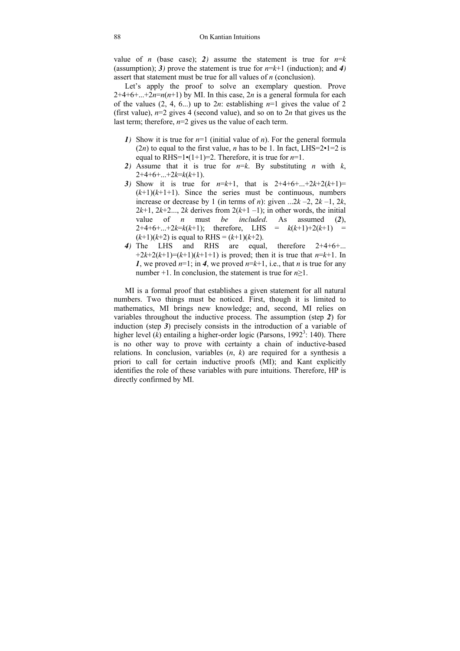value of *n* (base case); 2) assume the statement is true for  $n=k$ (assumption); 3) prove the statement is true for  $n=k+1$  (induction); and 4) assert that statement must be true for all values of *n* (conclusion).

Let's apply the proof to solve an exemplary question. Prove  $2+4+6+...+2n=n(n+1)$  by MI. In this case, 2*n* is a general formula for each of the values  $(2, 4, 6...)$  up to  $2n$ : establishing  $n=1$  gives the value of 2 (first value), *n*=2 gives 4 (second value), and so on to 2*n* that gives us the last term; therefore,  $n=2$  gives us the value of each term.

- *1)* Show it is true for *n*=1 (initial value of *n*). For the general formula (2*n*) to equal to the first value, *n* has to be 1. In fact, LHS=2 $\cdot$ 1=2 is equal to RHS=1 $\cdot$ (1+1)=2. Therefore, it is true for *n*=1.
- 2) Assume that it is true for  $n=k$ . By substituting *n* with *k*,  $2+4+6+...+2k=k(k+1).$
- *3)* Show it is true for  $n=k+1$ , that is  $2+4+6+...+2k+2(k+1)=$  $(k+1)(k+1+1)$ . Since the series must be continuous, numbers increase or decrease by 1 (in terms of *n*): given  $\ldots$ 2*k* –2, 2*k* –1, 2*k*,  $2k+1$ ,  $2k+2...$ ,  $2k$  derives from  $2(k+1-1)$ ; in other words, the initial value of *n* must *be included*. As assumed (2),<br> $2+4+6+...+2k=k(k+1)$ : therefore. LHS =  $k(k+1)+2(k+1)$  =  $2+4+6+...+2k=k(k+1)$ ; therefore,  $(k+1)(k+2)$  is equal to RHS =  $(k+1)(k+2)$ .
- *4)* The LHS and RHS are equal, therefore 2+4+6+...  $+2k+2(k+1)=(k+1)(k+1+1)$  is proved; then it is true that  $n=k+1$ . In *1*, we proved  $n=1$ ; in *4*, we proved  $n=k+1$ , i.e., that *n* is true for any number  $+1$ . In conclusion, the statement is true for  $n>1$ .

MI is a formal proof that establishes a given statement for all natural numbers. Two things must be noticed. First, though it is limited to mathematics, MI brings new knowledge; and, second, MI relies on variables throughout the inductive process. The assumption (step *2*) for induction (step *3*) precisely consists in the introduction of a variable of higher level  $(k)$  entailing a higher-order logic (Parsons, 1992<sup>3</sup>: 140). There is no other way to prove with certainty a chain of inductive-based relations. In conclusion, variables (*n*, *k*) are required for a synthesis a priori to call for certain inductive proofs (MI); and Kant explicitly identifies the role of these variables with pure intuitions. Therefore, HP is directly confirmed by MI.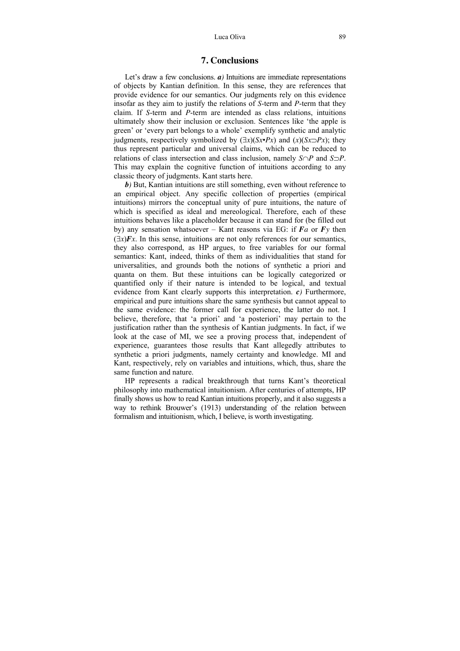## **7. Conclusions**

Let's draw a few conclusions. *a*) Intuitions are immediate representations of objects by Kantian definition. In this sense, they are references that provide evidence for our semantics. Our judgments rely on this evidence insofar as they aim to justify the relations of *S*-term and *P*-term that they claim. If *S*-term and *P*-term are intended as class relations, intuitions ultimately show their inclusion or exclusion. Sentences like 'the apple is green' or 'every part belongs to a whole' exemplify synthetic and analytic judgments, respectively symbolized by  $(\exists x)(Sx \cdot Px)$  and  $(x)(Sx \neg Px)$ ; they thus represent particular and universal claims, which can be reduced to relations of class intersection and class inclusion, namely  $S \cap P$  and  $S \supset P$ . This may explain the cognitive function of intuitions according to any classic theory of judgments. Kant starts here.

*b)* But, Kantian intuitions are still something, even without reference to an empirical object. Any specific collection of properties (empirical intuitions) mirrors the conceptual unity of pure intuitions, the nature of which is specified as ideal and mereological. Therefore, each of these intuitions behaves like a placeholder because it can stand for (be filled out by) any sensation whatsoever – Kant reasons via EG: if *Fa* or *Fy* then  $(\exists x)$ *Fx*. In this sense, intuitions are not only references for our semantics, they also correspond, as HP argues, to free variables for our formal semantics: Kant, indeed, thinks of them as individualities that stand for universalities, and grounds both the notions of synthetic a priori and quanta on them. But these intuitions can be logically categorized or quantified only if their nature is intended to be logical, and textual evidence from Kant clearly supports this interpretation. *c)* Furthermore, empirical and pure intuitions share the same synthesis but cannot appeal to the same evidence: the former call for experience, the latter do not. I believe, therefore, that 'a priori' and 'a posteriori' may pertain to the justification rather than the synthesis of Kantian judgments. In fact, if we look at the case of MI, we see a proving process that, independent of experience, guarantees those results that Kant allegedly attributes to synthetic a priori judgments, namely certainty and knowledge. MI and Kant, respectively, rely on variables and intuitions, which, thus, share the same function and nature.

HP represents a radical breakthrough that turns Kant's theoretical philosophy into mathematical intuitionism. After centuries of attempts, HP finally shows us how to read Kantian intuitions properly, and it also suggests a way to rethink Brouwer's (1913) understanding of the relation between formalism and intuitionism, which, I believe, is worth investigating.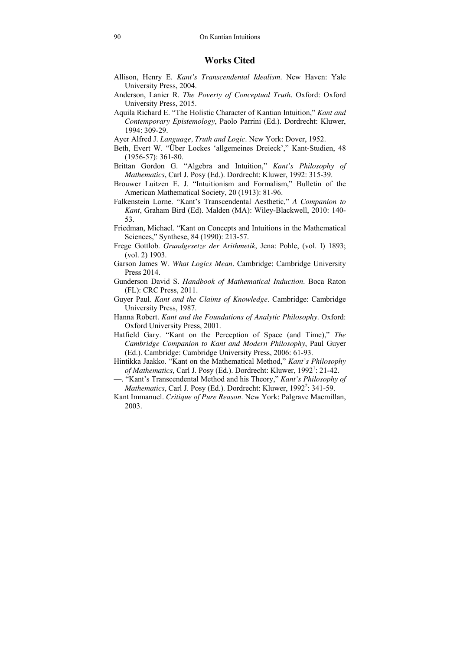# **Works Cited**

- Allison, Henry E. *Kant's Transcendental Idealism*. New Haven: Yale University Press, 2004.
- Anderson, Lanier R. *The Poverty of Conceptual Truth*. Oxford: Oxford University Press, 2015.
- Aquila Richard E. "The Holistic Character of Kantian Intuition," *Kant and Contemporary Epistemology*, Paolo Parrini (Ed.). Dordrecht: Kluwer, 1994: 309-29.
- Ayer Alfred J. *Language, Truth and Logic*. New York: Dover, 1952.
- Beth, Evert W. "Über Lockes 'allgemeines Dreieck'," Kant-Studien, 48 (1956-57): 361-80.
- Brittan Gordon G. "Algebra and Intuition," *Kant's Philosophy of Mathematics*, Carl J. Posy (Ed.). Dordrecht: Kluwer, 1992: 315-39.
- Brouwer Luitzen E. J. "Intuitionism and Formalism," Bulletin of the American Mathematical Society, 20 (1913): 81-96.
- Falkenstein Lorne. "Kant's Transcendental Aesthetic," *A Companion to Kant*, Graham Bird (Ed). Malden (MA): Wiley-Blackwell, 2010: 140- 53.
- Friedman, Michael. "Kant on Concepts and Intuitions in the Mathematical Sciences," Synthese, 84 (1990): 213-57.
- Frege Gottlob. *Grundgesetze der Arithmetik*, Jena: Pohle, (vol. I) 1893; (vol. 2) 1903.
- Garson James W. *What Logics Mean*. Cambridge: Cambridge University Press 2014.
- Gunderson David S. *Handbook of Mathematical Induction*. Boca Raton (FL): CRC Press, 2011.
- Guyer Paul. *Kant and the Claims of Knowledge*. Cambridge: Cambridge University Press, 1987.
- Hanna Robert. *Kant and the Foundations of Analytic Philosophy*. Oxford: Oxford University Press, 2001.
- Hatfield Gary. "Kant on the Perception of Space (and Time)," *The Cambridge Companion to Kant and Modern Philosophy*, Paul Guyer (Ed.). Cambridge: Cambridge University Press, 2006: 61-93.
- Hintikka Jaakko. "Kant on the Mathematical Method," *Kant's Philosophy*  of Mathematics, Carl J. Posy (Ed.). Dordrecht: Kluwer, 1992<sup>1</sup>: 21-42.
- —. "Kant's Transcendental Method and his Theory," *Kant's Philosophy of*  Mathematics, Carl J. Posy (Ed.). Dordrecht: Kluwer, 1992<sup>2</sup>: 341-59.
- Kant Immanuel. *Critique of Pure Reason*. New York: Palgrave Macmillan, 2003.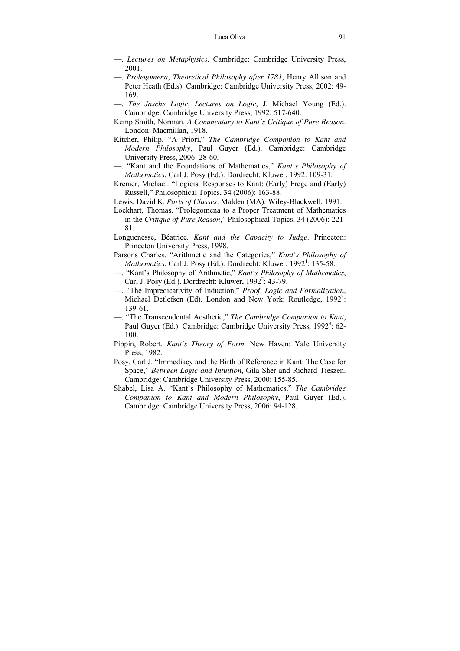- —. *Lectures on Metaphysics*. Cambridge: Cambridge University Press, 2001.
- —. *Prolegomena*, *Theoretical Philosophy after 1781*, Henry Allison and Peter Heath (Ed.s). Cambridge: Cambridge University Press, 2002: 49- 169.
- —. *The Jäsche Logic*, *Lectures on Logic*, J. Michael Young (Ed.). Cambridge: Cambridge University Press, 1992: 517-640.
- Kemp Smith, Norman. *A Commentary to Kant's Critique of Pure Reason*. London: Macmillan, 1918.
- Kitcher, Philip. "A Priori," *The Cambridge Companion to Kant and Modern Philosophy*, Paul Guyer (Ed.). Cambridge: Cambridge University Press, 2006: 28-60.
- —. "Kant and the Foundations of Mathematics," *Kant's Philosophy of Mathematics*, Carl J. Posy (Ed.). Dordrecht: Kluwer, 1992: 109-31.
- Kremer, Michael. "Logicist Responses to Kant: (Early) Frege and (Early) Russell," Philosophical Topics, 34 (2006): 163-88.
- Lewis, David K. *Parts of Classes*. Malden (MA): Wiley-Blackwell, 1991.
- Lockhart, Thomas. "Prolegomena to a Proper Treatment of Mathematics in the *Critique of Pure Reason*," Philosophical Topics, 34 (2006): 221- 81.
- Longuenesse, Béatrice. *Kant and the Capacity to Judge*. Princeton: Princeton University Press, 1998.
- Parsons Charles. "Arithmetic and the Categories," *Kant's Philosophy of Mathematics*, Carl J. Posy (Ed.). Dordrecht: Kluwer, 1992<sup>1</sup>: 135-58.
- —. "Kant's Philosophy of Arithmetic," *Kant's Philosophy of Mathematics*, Carl J. Posy (Ed.). Dordrecht: Kluwer, 1992<sup>2</sup>: 43-79.
- —. "The Impredicativity of Induction," *Proof, Logic and Formalization*, Michael Detlefsen (Ed). London and New York: Routledge, 1992<sup>3</sup>: 139-61.
- —. "The Transcendental Aesthetic," *The Cambridge Companion to Kant*, Paul Guyer (Ed.). Cambridge: Cambridge University Press, 1992<sup>4</sup>: 62-100.
- Pippin, Robert. *Kant's Theory of Form*. New Haven: Yale University Press, 1982.
- Posy, Carl J. "Immediacy and the Birth of Reference in Kant: The Case for Space," *Between Logic and Intuition*, Gila Sher and Richard Tieszen. Cambridge: Cambridge University Press, 2000: 155-85.
- Shabel, Lisa A. "Kant's Philosophy of Mathematics," *The Cambridge Companion to Kant and Modern Philosophy*, Paul Guyer (Ed.). Cambridge: Cambridge University Press, 2006: 94-128.